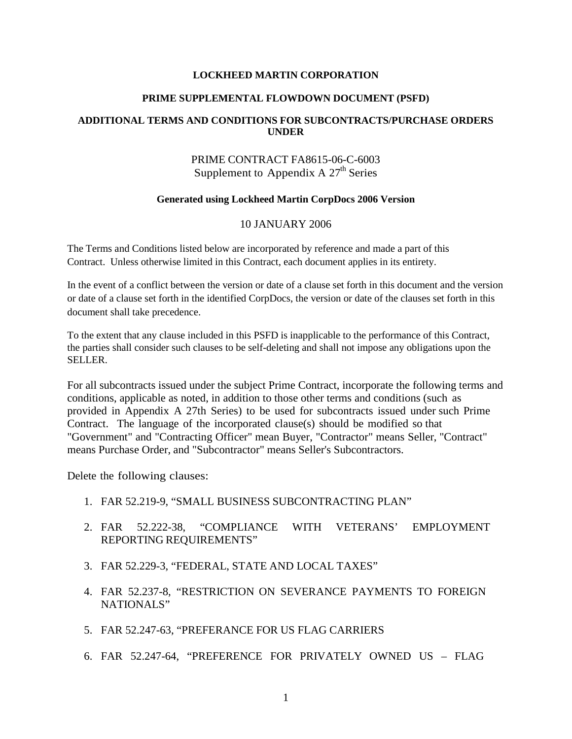#### **LOCKHEED MARTIN CORPORATION**

## **PRIME SUPPLEMENTAL FLOWDOWN DOCUMENT (PSFD)**

## **ADDITIONAL TERMS AND CONDITIONS FOR SUBCONTRACTS/PURCHASE ORDERS UNDER**

## PRIME CONTRACT FA8615-06-C-6003 Supplement to Appendix A  $27<sup>th</sup>$  Series

#### **Generated using Lockheed Martin CorpDocs 2006 Version**

#### 10 JANUARY 2006

The Terms and Conditions listed below are incorporated by reference and made a part of this Contract. Unless otherwise limited in this Contract, each document applies in its entirety.

In the event of a conflict between the version or date of a clause set forth in this document and the version or date of a clause set forth in the identified CorpDocs, the version or date of the clauses set forth in this document shall take precedence.

To the extent that any clause included in this PSFD is inapplicable to the performance of this Contract, the parties shall consider such clauses to be self-deleting and shall not impose any obligations upon the SELLER.

For all subcontracts issued under the subject Prime Contract, incorporate the following terms and conditions, applicable as noted, in addition to those other terms and conditions (such as provided in Appendix A 27th Series) to be used for subcontracts issued under such Prime Contract. The language of the incorporated clause(s) should be modified so that "Government" and "Contracting Officer" mean Buyer, "Contractor" means Seller, "Contract" means Purchase Order, and "Subcontractor" means Seller's Subcontractors.

Delete the following clauses:

- 1. FAR 52.219-9, "SMALL BUSINESS SUBCONTRACTING PLAN"
- 2. FAR 52.222-38, "COMPLIANCE WITH VETERANS' EMPLOYMENT REPORTING REQUIREMENTS"
- 3. FAR 52.229-3, "FEDERAL, STATE AND LOCAL TAXES"
- 4. FAR 52.237-8, "RESTRICTION ON SEVERANCE PAYMENTS TO FOREIGN NATIONALS"
- 5. FAR 52.247-63, "PREFERANCE FOR US FLAG CARRIERS
- 6. FAR 52.247-64, "PREFERENCE FOR PRIVATELY OWNED US FLAG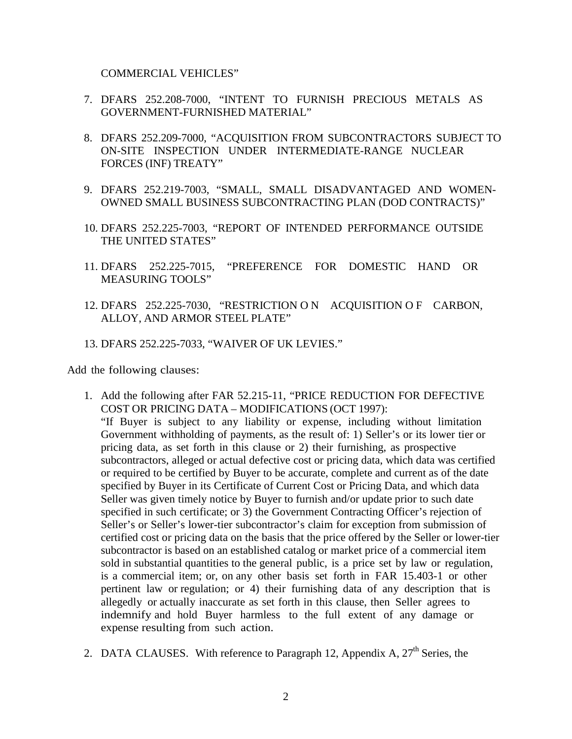COMMERCIAL VEHICLES"

- 7. DFARS 252.208-7000, "INTENT TO FURNISH PRECIOUS METALS AS GOVERNMENT-FURNISHED MATERIAL"
- 8. DFARS 252.209-7000, "ACQUISITION FROM SUBCONTRACTORS SUBJECT TO ON-SITE INSPECTION UNDER INTERMEDIATE-RANGE NUCLEAR FORCES (INF) TREATY"
- 9. DFARS 252.219-7003, "SMALL, SMALL DISADVANTAGED AND WOMEN-OWNED SMALL BUSINESS SUBCONTRACTING PLAN (DOD CONTRACTS)"
- 10. DFARS 252.225-7003, "REPORT OF INTENDED PERFORMANCE OUTSIDE THE UNITED STATES"
- 11. DFARS 252.225-7015, "PREFERENCE FOR DOMESTIC HAND OR MEASURING TOOLS"
- 12. DFARS 252.225-7030, "RESTRICTION O N ACQUISITION O F CARBON, ALLOY, AND ARMOR STEEL PLATE"
- 13. DFARS 252.225-7033, "WAIVER OF UK LEVIES."

Add the following clauses:

- 1. Add the following after FAR 52.215-11, "PRICE REDUCTION FOR DEFECTIVE COST OR PRICING DATA – MODIFICATIONS (OCT 1997): "If Buyer is subject to any liability or expense, including without limitation Government withholding of payments, as the result of: 1) Seller's or its lower tier or pricing data, as set forth in this clause or 2) their furnishing, as prospective subcontractors, alleged or actual defective cost or pricing data, which data was certified or required to be certified by Buyer to be accurate, complete and current as of the date specified by Buyer in its Certificate of Current Cost or Pricing Data, and which data Seller was given timely notice by Buyer to furnish and/or update prior to such date specified in such certificate; or 3) the Government Contracting Officer's rejection of Seller's or Seller's lower-tier subcontractor's claim for exception from submission of certified cost or pricing data on the basis that the price offered by the Seller or lower-tier subcontractor is based on an established catalog or market price of a commercial item sold in substantial quantities to the general public, is a price set by law or regulation, is a commercial item; or, on any other basis set forth in FAR 15.403-1 or other pertinent law or regulation; or 4) their furnishing data of any description that is allegedly or actually inaccurate as set forth in this clause, then Seller agrees to indemnify and hold Buyer harmless to the full extent of any damage or expense resulting from such action.
- 2. DATA CLAUSES. With reference to Paragraph 12, Appendix A,  $27<sup>th</sup>$  Series, the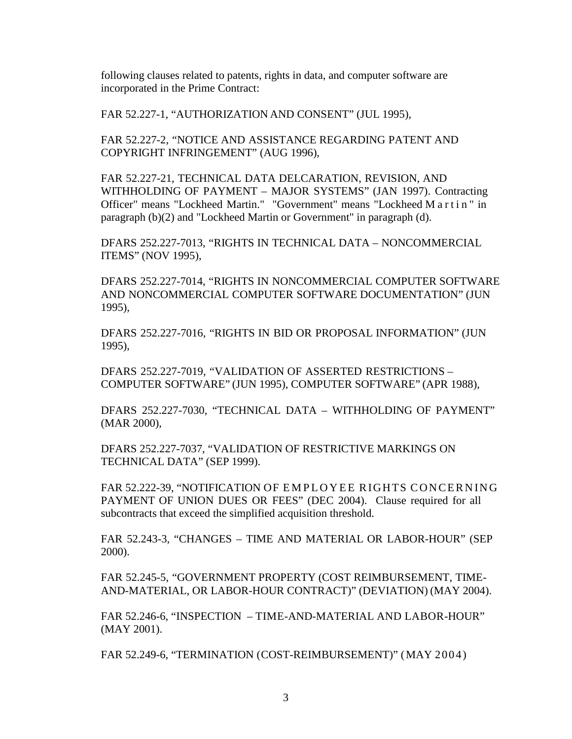following clauses related to patents, rights in data, and computer software are incorporated in the Prime Contract:

FAR 52.227-1, "AUTHORIZATION AND CONSENT" (JUL 1995),

FAR 52.227-2, "NOTICE AND ASSISTANCE REGARDING PATENT AND COPYRIGHT INFRINGEMENT" (AUG 1996),

FAR 52.227-21, TECHNICAL DATA DELCARATION, REVISION, AND WITHHOLDING OF PAYMENT – MAJOR SYSTEMS" (JAN 1997). Contracting Officer" means "Lockheed Martin." "Government" means "Lockheed Martin " in paragraph (b)(2) and "Lockheed Martin or Government" in paragraph (d).

DFARS 252.227-7013, "RIGHTS IN TECHNICAL DATA – NONCOMMERCIAL ITEMS" (NOV 1995),

DFARS 252.227-7014, "RIGHTS IN NONCOMMERCIAL COMPUTER SOFTWARE AND NONCOMMERCIAL COMPUTER SOFTWARE DOCUMENTATION" (JUN 1995),

DFARS 252.227-7016, "RIGHTS IN BID OR PROPOSAL INFORMATION" (JUN 1995),

DFARS 252.227-7019, "VALIDATION OF ASSERTED RESTRICTIONS – COMPUTER SOFTWARE" (JUN 1995), COMPUTER SOFTWARE" (APR 1988),

DFARS 252.227-7030, "TECHNICAL DATA – WITHHOLDING OF PAYMENT" (MAR 2000),

DFARS 252.227-7037, "VALIDATION OF RESTRICTIVE MARKINGS ON TECHNICAL DATA" (SEP 1999).

FAR 52.222-39, "NOTIFICATION OF EMPLOYEE RIGHTS CONCERNING PAYMENT OF UNION DUES OR FEES" (DEC 2004). Clause required for all subcontracts that exceed the simplified acquisition threshold.

FAR 52.243-3, "CHANGES – TIME AND MATERIAL OR LABOR-HOUR" (SEP 2000).

FAR 52.245-5, "GOVERNMENT PROPERTY (COST REIMBURSEMENT, TIME-AND-MATERIAL, OR LABOR-HOUR CONTRACT)" (DEVIATION) (MAY 2004).

FAR 52.246-6, "INSPECTION – TIME-AND-MATERIAL AND LABOR-HOUR" (MAY 2001).

FAR 52.249-6, "TERMINATION (COST-REIMBURSEMENT)" (MAY 2004)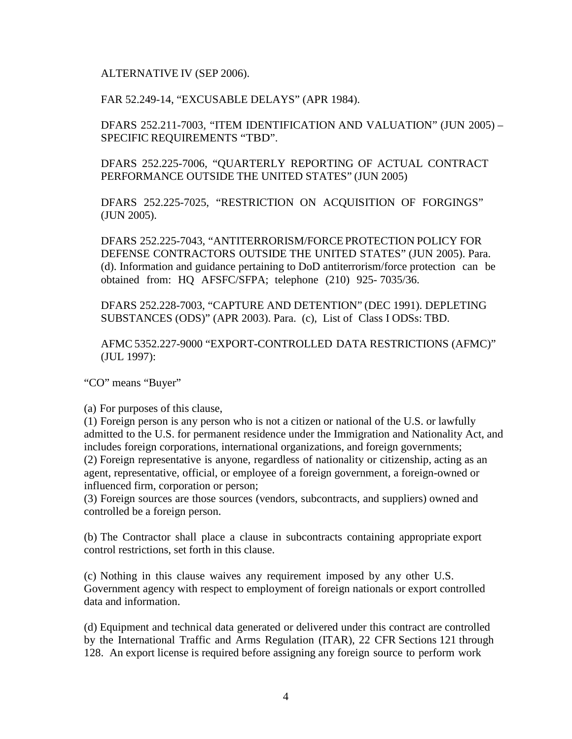## ALTERNATIVE IV (SEP 2006).

## FAR 52.249-14, "EXCUSABLE DELAYS" (APR 1984).

DFARS 252.211-7003, "ITEM IDENTIFICATION AND VALUATION" (JUN 2005) – SPECIFIC REQUIREMENTS "TBD".

DFARS 252.225-7006, "QUARTERLY REPORTING OF ACTUAL CONTRACT PERFORMANCE OUTSIDE THE UNITED STATES" (JUN 2005)

DFARS 252.225-7025, "RESTRICTION ON ACQUISITION OF FORGINGS" (JUN 2005).

DFARS 252.225-7043, "ANTITERRORISM/FORCEPROTECTION POLICY FOR DEFENSE CONTRACTORS OUTSIDE THE UNITED STATES" (JUN 2005). Para. (d). Information and guidance pertaining to DoD antiterrorism/force protection can be obtained from: HQ AFSFC/SFPA; telephone (210) 925- 7035/36.

DFARS 252.228-7003, "CAPTURE AND DETENTION" (DEC 1991). DEPLETING SUBSTANCES (ODS)" (APR 2003). Para. (c), List of Class I ODSs: TBD.

AFMC 5352.227-9000 "EXPORT-CONTROLLED DATA RESTRICTIONS (AFMC)" (JUL 1997):

"CO" means "Buyer"

(a) For purposes of this clause,

(1) Foreign person is any person who is not a citizen or national of the U.S. or lawfully admitted to the U.S. for permanent residence under the Immigration and Nationality Act, and includes foreign corporations, international organizations, and foreign governments; (2) Foreign representative is anyone, regardless of nationality or citizenship, acting as an agent, representative, official, or employee of a foreign government, a foreign-owned or influenced firm, corporation or person;

(3) Foreign sources are those sources (vendors, subcontracts, and suppliers) owned and controlled be a foreign person.

(b) The Contractor shall place a clause in subcontracts containing appropriate export control restrictions, set forth in this clause.

(c) Nothing in this clause waives any requirement imposed by any other U.S. Government agency with respect to employment of foreign nationals or export controlled data and information.

(d) Equipment and technical data generated or delivered under this contract are controlled by the International Traffic and Arms Regulation (ITAR), 22 CFR Sections 121 through 128. An export license is required before assigning any foreign source to perform work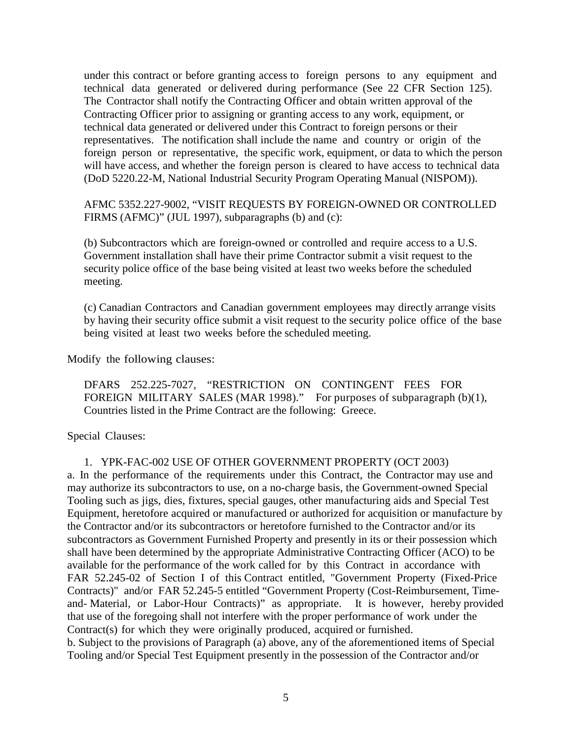under this contract or before granting access to foreign persons to any equipment and technical data generated or delivered during performance (See 22 CFR Section 125). The Contractor shall notify the Contracting Officer and obtain written approval of the Contracting Officer prior to assigning or granting access to any work, equipment, or technical data generated or delivered under this Contract to foreign persons or their representatives. The notification shall include the name and country or origin of the foreign person or representative, the specific work, equipment, or data to which the person will have access, and whether the foreign person is cleared to have access to technical data (DoD 5220.22-M, National Industrial Security Program Operating Manual (NISPOM)).

AFMC 5352.227-9002, "VISIT REQUESTS BY FOREIGN-OWNED OR CONTROLLED FIRMS (AFMC)" (JUL 1997), subparagraphs (b) and (c):

(b) Subcontractors which are foreign-owned or controlled and require access to a U.S. Government installation shall have their prime Contractor submit a visit request to the security police office of the base being visited at least two weeks before the scheduled meeting.

(c) Canadian Contractors and Canadian government employees may directly arrange visits by having their security office submit a visit request to the security police office of the base being visited at least two weeks before the scheduled meeting.

Modify the following clauses:

DFARS 252.225-7027, "RESTRICTION ON CONTINGENT FEES FOR FOREIGN MILITARY SALES (MAR 1998)." For purposes of subparagraph (b)(1), Countries listed in the Prime Contract are the following: Greece.

Special Clauses:

## 1. YPK-FAC-002 USE OF OTHER GOVERNMENT PROPERTY (OCT 2003)

a. In the performance of the requirements under this Contract, the Contractor may use and may authorize its subcontractors to use, on a no-charge basis, the Government-owned Special Tooling such as jigs, dies, fixtures, special gauges, other manufacturing aids and Special Test Equipment, heretofore acquired or manufactured or authorized for acquisition or manufacture by the Contractor and/or its subcontractors or heretofore furnished to the Contractor and/or its subcontractors as Government Furnished Property and presently in its or their possession which shall have been determined by the appropriate Administrative Contracting Officer (ACO) to be available for the performance of the work called for by this Contract in accordance with FAR 52.245-02 of Section I of this Contract entitled, "Government Property (Fixed-Price Contracts)" and/or FAR 52.245-5 entitled "Government Property (Cost-Reimbursement, Timeand- Material, or Labor-Hour Contracts)" as appropriate. It is however, hereby provided that use of the foregoing shall not interfere with the proper performance of work under the Contract(s) for which they were originally produced, acquired or furnished. b. Subject to the provisions of Paragraph (a) above, any of the aforementioned items of Special Tooling and/or Special Test Equipment presently in the possession of the Contractor and/or